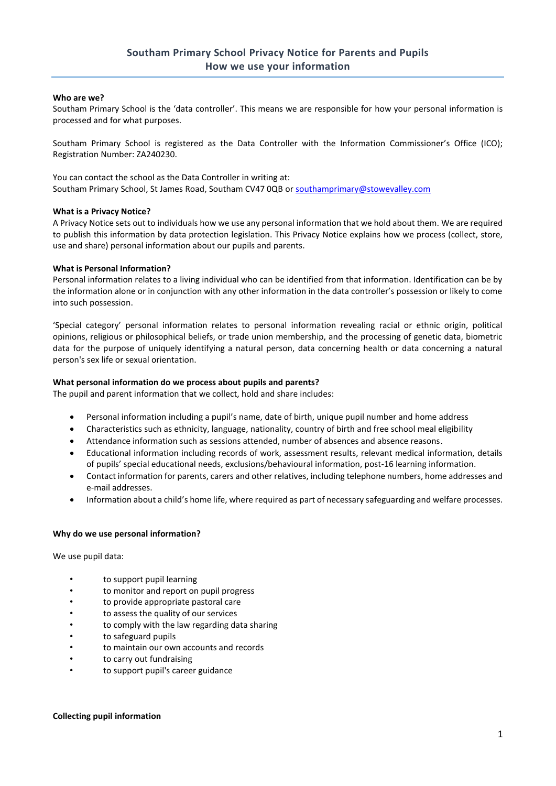# **Who are we?**

Southam Primary School is the 'data controller'. This means we are responsible for how your personal information is processed and for what purposes.

Southam Primary School is registered as the Data Controller with the Information Commissioner's Office (ICO); Registration Number: ZA240230.

You can contact the school as the Data Controller in writing at: Southam Primary School, St James Road, Southam CV47 0QB o[r southamprimary@stowevalley.com](mailto:admin2624@welearn365.com)

# **What is a Privacy Notice?**

A Privacy Notice sets out to individuals how we use any personal information that we hold about them. We are required to publish this information by data protection legislation. This Privacy Notice explains how we process (collect, store, use and share) personal information about our pupils and parents.

# **What is Personal Information?**

Personal information relates to a living individual who can be identified from that information. Identification can be by the information alone or in conjunction with any other information in the data controller's possession or likely to come into such possession.

'Special category' personal information relates to personal information revealing racial or ethnic origin, political opinions, religious or philosophical beliefs, or trade union membership, and the processing of genetic data, biometric data for the purpose of uniquely identifying a natural person, data concerning health or data concerning a natural person's sex life or sexual orientation.

# **What personal information do we process about pupils and parents?**

The pupil and parent information that we collect, hold and share includes:

- Personal information including a pupil's name, date of birth, unique pupil number and home address
- Characteristics such as ethnicity, language, nationality, country of birth and free school meal eligibility
- Attendance information such as sessions attended, number of absences and absence reasons.
- Educational information including records of work, assessment results, relevant medical information, details of pupils' special educational needs, exclusions/behavioural information, post-16 learning information.
- Contact information for parents, carers and other relatives, including telephone numbers, home addresses and e-mail addresses.
- Information about a child's home life, where required as part of necessary safeguarding and welfare processes.

# **Why do we use personal information?**

We use pupil data:

- to support pupil learning
- to monitor and report on pupil progress
- to provide appropriate pastoral care
- to assess the quality of our services
- to comply with the law regarding data sharing
- to safeguard pupils
- to maintain our own accounts and records
- to carry out fundraising
- to support pupil's career guidance

# **Collecting pupil information**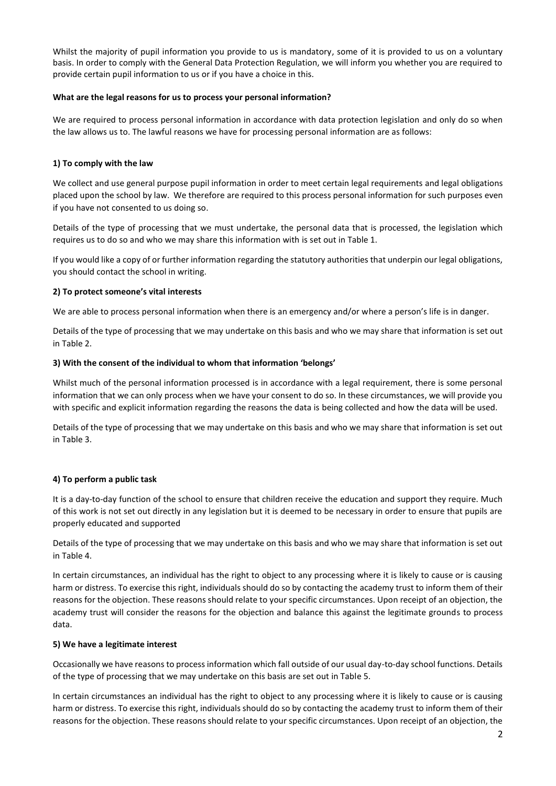Whilst the majority of pupil information you provide to us is mandatory, some of it is provided to us on a voluntary basis. In order to comply with the General Data Protection Regulation, we will inform you whether you are required to provide certain pupil information to us or if you have a choice in this.

# **What are the legal reasons for us to process your personal information?**

We are required to process personal information in accordance with data protection legislation and only do so when the law allows us to. The lawful reasons we have for processing personal information are as follows:

# **1) To comply with the law**

We collect and use general purpose pupil information in order to meet certain legal requirements and legal obligations placed upon the school by law. We therefore are required to this process personal information for such purposes even if you have not consented to us doing so.

Details of the type of processing that we must undertake, the personal data that is processed, the legislation which requires us to do so and who we may share this information with is set out in Table 1.

If you would like a copy of or further information regarding the statutory authorities that underpin our legal obligations, you should contact the school in writing.

# **2) To protect someone's vital interests**

We are able to process personal information when there is an emergency and/or where a person's life is in danger.

Details of the type of processing that we may undertake on this basis and who we may share that information is set out in Table 2.

# **3) With the consent of the individual to whom that information 'belongs'**

Whilst much of the personal information processed is in accordance with a legal requirement, there is some personal information that we can only process when we have your consent to do so. In these circumstances, we will provide you with specific and explicit information regarding the reasons the data is being collected and how the data will be used.

Details of the type of processing that we may undertake on this basis and who we may share that information is set out in Table 3.

# **4) To perform a public task**

It is a day-to-day function of the school to ensure that children receive the education and support they require. Much of this work is not set out directly in any legislation but it is deemed to be necessary in order to ensure that pupils are properly educated and supported

Details of the type of processing that we may undertake on this basis and who we may share that information is set out in Table 4.

In certain circumstances, an individual has the right to object to any processing where it is likely to cause or is causing harm or distress. To exercise this right, individuals should do so by contacting the academy trust to inform them of their reasons for the objection. These reasons should relate to your specific circumstances. Upon receipt of an objection, the academy trust will consider the reasons for the objection and balance this against the legitimate grounds to process data.

# **5) We have a legitimate interest**

Occasionally we have reasons to process information which fall outside of our usual day-to-day school functions. Details of the type of processing that we may undertake on this basis are set out in Table 5.

In certain circumstances an individual has the right to object to any processing where it is likely to cause or is causing harm or distress. To exercise this right, individuals should do so by contacting the academy trust to inform them of their reasons for the objection. These reasons should relate to your specific circumstances. Upon receipt of an objection, the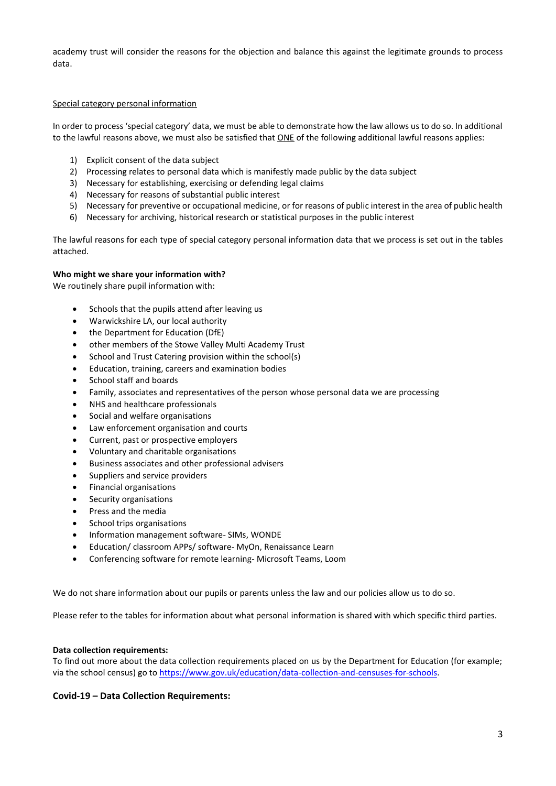academy trust will consider the reasons for the objection and balance this against the legitimate grounds to process data.

#### Special category personal information

In order to process 'special category' data, we must be able to demonstrate how the law allows us to do so. In additional to the lawful reasons above, we must also be satisfied that ONE of the following additional lawful reasons applies:

- 1) Explicit consent of the data subject
- 2) Processing relates to personal data which is manifestly made public by the data subject
- 3) Necessary for establishing, exercising or defending legal claims
- 4) Necessary for reasons of substantial public interest
- 5) Necessary for preventive or occupational medicine, or for reasons of public interest in the area of public health
- 6) Necessary for archiving, historical research or statistical purposes in the public interest

The lawful reasons for each type of special category personal information data that we process is set out in the tables attached.

# **Who might we share your information with?**

We routinely share pupil information with:

- Schools that the pupils attend after leaving us
- Warwickshire LA, our local authority
- the Department for Education (DfE)
- other members of the Stowe Valley Multi Academy Trust
- School and Trust Catering provision within the school(s)
- Education, training, careers and examination bodies
- School staff and boards
- Family, associates and representatives of the person whose personal data we are processing
- NHS and healthcare professionals
- Social and welfare organisations
- Law enforcement organisation and courts
- Current, past or prospective employers
- Voluntary and charitable organisations
- Business associates and other professional advisers
- Suppliers and service providers
- Financial organisations
- Security organisations
- Press and the media
- School trips organisations
- Information management software- SIMs, WONDE
- Education/ classroom APPs/ software- MyOn, Renaissance Learn
- Conferencing software for remote learning- Microsoft Teams, Loom

We do not share information about our pupils or parents unless the law and our policies allow us to do so.

Please refer to the tables for information about what personal information is shared with which specific third parties.

# **Data collection requirements:**

To find out more about the data collection requirements placed on us by the Department for Education (for example; via the school census) go to [https://www.gov.uk/education/data-collection-and-censuses-for-schools.](https://www.gov.uk/education/data-collection-and-censuses-for-schools)

# **Covid-19 – Data Collection Requirements:**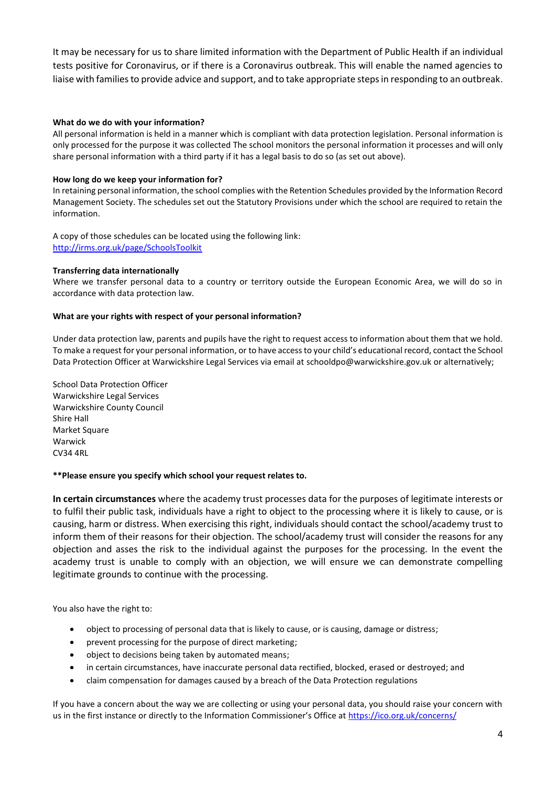It may be necessary for us to share limited information with the Department of Public Health if an individual tests positive for Coronavirus, or if there is a Coronavirus outbreak. This will enable the named agencies to liaise with families to provide advice and support, and to take appropriate steps in responding to an outbreak.

# **What do we do with your information?**

All personal information is held in a manner which is compliant with data protection legislation. Personal information is only processed for the purpose it was collected The school monitors the personal information it processes and will only share personal information with a third party if it has a legal basis to do so (as set out above).

# **How long do we keep your information for?**

In retaining personal information, the school complies with the Retention Schedules provided by the Information Record Management Society. The schedules set out the Statutory Provisions under which the school are required to retain the information.

A copy of those schedules can be located using the following link: <http://irms.org.uk/page/SchoolsToolkit>

# **Transferring data internationally**

Where we transfer personal data to a country or territory outside the European Economic Area, we will do so in accordance with data protection law.

# **What are your rights with respect of your personal information?**

Under data protection law, parents and pupils have the right to request access to information about them that we hold. To make a request for your personal information, or to have access to your child's educational record, contact the School Data Protection Officer at Warwickshire Legal Services via email at [schooldpo@warwickshire.gov.uk](mailto:schooldpo@warwickshire.gov.uk) or alternatively;

School Data Protection Officer Warwickshire Legal Services Warwickshire County Council Shire Hall Market Square Warwick CV34 4RL

# **\*\*Please ensure you specify which school your request relates to.**

**In certain circumstances** where the academy trust processes data for the purposes of legitimate interests or to fulfil their public task, individuals have a right to object to the processing where it is likely to cause, or is causing, harm or distress. When exercising this right, individuals should contact the school/academy trust to inform them of their reasons for their objection. The school/academy trust will consider the reasons for any objection and asses the risk to the individual against the purposes for the processing. In the event the academy trust is unable to comply with an objection, we will ensure we can demonstrate compelling legitimate grounds to continue with the processing.

You also have the right to:

- object to processing of personal data that is likely to cause, or is causing, damage or distress;
- prevent processing for the purpose of direct marketing;
- object to decisions being taken by automated means;
- in certain circumstances, have inaccurate personal data rectified, blocked, erased or destroyed; and
- claim compensation for damages caused by a breach of the Data Protection regulations

If you have a concern about the way we are collecting or using your personal data, you should raise your concern with us in the first instance or directly to the Information Commissioner's Office at <https://ico.org.uk/concerns/>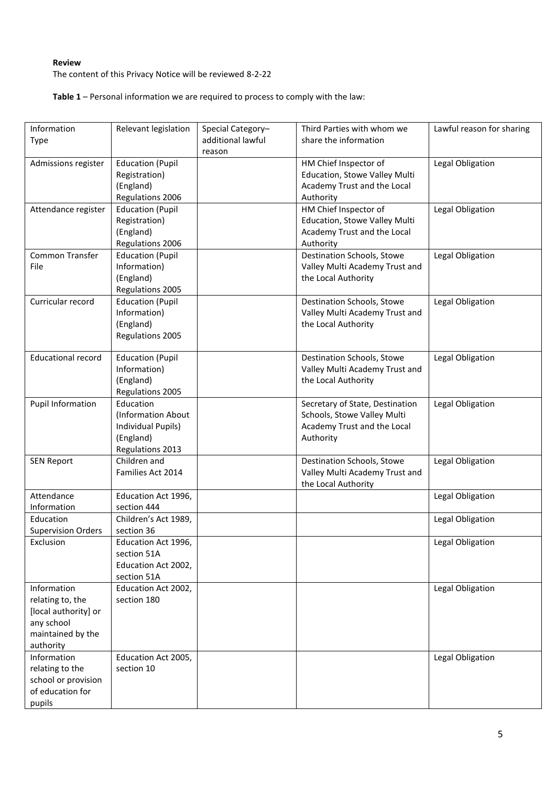# **Review**

The content of this Privacy Notice will be reviewed 8-2-22

**Table 1** – Personal information we are required to process to comply with the law:

| Information                             | Relevant legislation                     | Special Category- | Third Parties with whom we                             | Lawful reason for sharing |
|-----------------------------------------|------------------------------------------|-------------------|--------------------------------------------------------|---------------------------|
| Type                                    |                                          | additional lawful | share the information                                  |                           |
|                                         |                                          | reason            |                                                        |                           |
| Admissions register                     | <b>Education (Pupil</b><br>Registration) |                   | HM Chief Inspector of<br>Education, Stowe Valley Multi | Legal Obligation          |
|                                         | (England)                                |                   | Academy Trust and the Local                            |                           |
|                                         | Regulations 2006                         |                   | Authority                                              |                           |
| Attendance register                     | <b>Education (Pupil</b>                  |                   | HM Chief Inspector of                                  | Legal Obligation          |
|                                         | Registration)                            |                   | Education, Stowe Valley Multi                          |                           |
|                                         | (England)                                |                   | Academy Trust and the Local                            |                           |
|                                         | Regulations 2006                         |                   | Authority                                              |                           |
| Common Transfer                         | <b>Education (Pupil</b>                  |                   | Destination Schools, Stowe                             | Legal Obligation          |
| File                                    | Information)                             |                   | Valley Multi Academy Trust and                         |                           |
|                                         | (England)                                |                   | the Local Authority                                    |                           |
|                                         | Regulations 2005                         |                   |                                                        |                           |
| Curricular record                       | <b>Education (Pupil</b>                  |                   | Destination Schools, Stowe                             | Legal Obligation          |
|                                         | Information)                             |                   | Valley Multi Academy Trust and                         |                           |
|                                         | (England)                                |                   | the Local Authority                                    |                           |
|                                         | Regulations 2005                         |                   |                                                        |                           |
| <b>Educational record</b>               | <b>Education (Pupil</b>                  |                   | Destination Schools, Stowe                             | Legal Obligation          |
|                                         | Information)                             |                   | Valley Multi Academy Trust and                         |                           |
|                                         | (England)                                |                   | the Local Authority                                    |                           |
|                                         | Regulations 2005                         |                   |                                                        |                           |
| <b>Pupil Information</b>                | Education                                |                   | Secretary of State, Destination                        | Legal Obligation          |
|                                         | (Information About                       |                   | Schools, Stowe Valley Multi                            |                           |
|                                         | Individual Pupils)                       |                   | Academy Trust and the Local                            |                           |
|                                         | (England)                                |                   | Authority                                              |                           |
|                                         | Regulations 2013                         |                   |                                                        |                           |
| <b>SEN Report</b>                       | Children and                             |                   | Destination Schools, Stowe                             | Legal Obligation          |
|                                         | Families Act 2014                        |                   | Valley Multi Academy Trust and                         |                           |
| Attendance                              | Education Act 1996,                      |                   | the Local Authority                                    | Legal Obligation          |
| Information                             | section 444                              |                   |                                                        |                           |
| Education                               | Children's Act 1989,                     |                   |                                                        | Legal Obligation          |
| <b>Supervision Orders</b>               | section 36                               |                   |                                                        |                           |
| Exclusion                               | Education Act 1996,                      |                   |                                                        | Legal Obligation          |
|                                         | section 51A                              |                   |                                                        |                           |
|                                         | Education Act 2002,                      |                   |                                                        |                           |
|                                         | section 51A                              |                   |                                                        |                           |
| Information                             | Education Act 2002,                      |                   |                                                        | Legal Obligation          |
| relating to, the                        | section 180                              |                   |                                                        |                           |
| [local authority] or                    |                                          |                   |                                                        |                           |
| any school                              |                                          |                   |                                                        |                           |
| maintained by the                       |                                          |                   |                                                        |                           |
| authority                               |                                          |                   |                                                        |                           |
| Information                             | Education Act 2005,                      |                   |                                                        | Legal Obligation          |
| relating to the                         | section 10                               |                   |                                                        |                           |
| school or provision<br>of education for |                                          |                   |                                                        |                           |
| pupils                                  |                                          |                   |                                                        |                           |
|                                         |                                          |                   |                                                        |                           |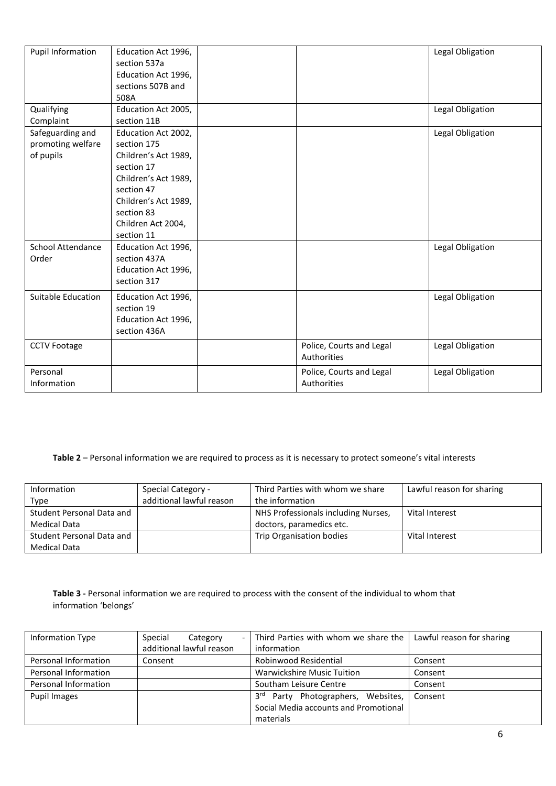| <b>Pupil Information</b>              | Education Act 1996,<br>section 537a<br>Education Act 1996,<br>sections 507B and |                          | Legal Obligation |
|---------------------------------------|---------------------------------------------------------------------------------|--------------------------|------------------|
|                                       | 508A                                                                            |                          |                  |
| Qualifying                            | Education Act 2005,                                                             |                          | Legal Obligation |
| Complaint                             | section 11B                                                                     |                          |                  |
| Safeguarding and<br>promoting welfare | Education Act 2002,<br>section 175                                              |                          | Legal Obligation |
| of pupils                             | Children's Act 1989,                                                            |                          |                  |
|                                       | section 17                                                                      |                          |                  |
|                                       | Children's Act 1989,                                                            |                          |                  |
|                                       | section 47                                                                      |                          |                  |
|                                       | Children's Act 1989,                                                            |                          |                  |
|                                       | section 83                                                                      |                          |                  |
|                                       | Children Act 2004,                                                              |                          |                  |
|                                       | section 11                                                                      |                          |                  |
| School Attendance                     | Education Act 1996,                                                             |                          | Legal Obligation |
| Order                                 | section 437A                                                                    |                          |                  |
|                                       | Education Act 1996,                                                             |                          |                  |
|                                       | section 317                                                                     |                          |                  |
| Suitable Education                    | Education Act 1996,                                                             |                          | Legal Obligation |
|                                       | section 19                                                                      |                          |                  |
|                                       | Education Act 1996,                                                             |                          |                  |
|                                       | section 436A                                                                    |                          |                  |
| <b>CCTV Footage</b>                   |                                                                                 | Police, Courts and Legal | Legal Obligation |
|                                       |                                                                                 | Authorities              |                  |
| Personal                              |                                                                                 | Police, Courts and Legal | Legal Obligation |
| Information                           |                                                                                 | Authorities              |                  |

# **Table 2** – Personal information we are required to process as it is necessary to protect someone's vital interests

| Information               | Special Category -       | Third Parties with whom we share    | Lawful reason for sharing |
|---------------------------|--------------------------|-------------------------------------|---------------------------|
| Type                      | additional lawful reason | the information                     |                           |
| Student Personal Data and |                          | NHS Professionals including Nurses, | Vital Interest            |
| Medical Data              |                          | doctors, paramedics etc.            |                           |
| Student Personal Data and |                          | Trip Organisation bodies            | Vital Interest            |
| Medical Data              |                          |                                     |                           |

**Table 3 -** Personal information we are required to process with the consent of the individual to whom that information 'belongs'

| Information Type     | Special<br>Category      | - Third Parties with whom we share the            | Lawful reason for sharing |
|----------------------|--------------------------|---------------------------------------------------|---------------------------|
|                      | additional lawful reason | information                                       |                           |
| Personal Information | Consent                  | Robinwood Residential                             | Consent                   |
| Personal Information |                          | <b>Warwickshire Music Tuition</b>                 | Consent                   |
| Personal Information |                          | Southam Leisure Centre                            | Consent                   |
| Pupil Images         |                          | 3 <sup>rd</sup><br>Party Photographers, Websites, | Consent                   |
|                      |                          | Social Media accounts and Promotional             |                           |
|                      |                          | materials                                         |                           |